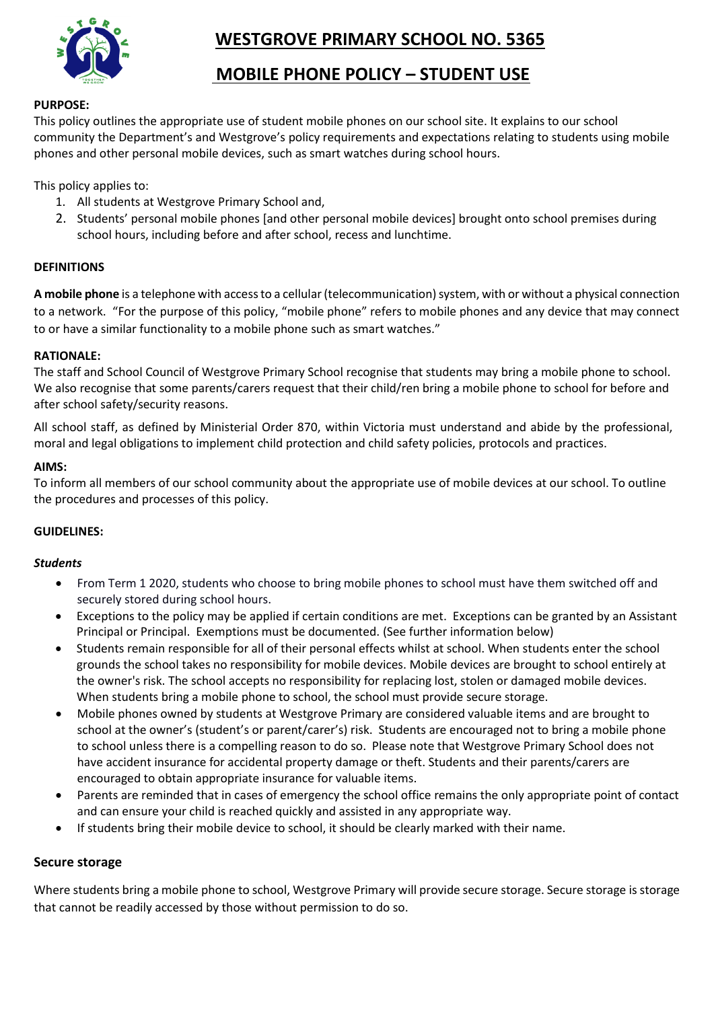**WESTGROVE PRIMARY SCHOOL NO. 5365**



# **MOBILE PHONE POLICY – STUDENT USE**

### **PURPOSE:**

This policy outlines the appropriate use of student mobile phones on our school site. It explains to our school community the Department's and Westgrove's policy requirements and expectations relating to students using mobile phones and other personal mobile devices, such as smart watches during school hours.

This policy applies to:

- 1. All students at Westgrove Primary School and,
- 2. Students' personal mobile phones [and other personal mobile devices] brought onto school premises during school hours, including before and after school, recess and lunchtime.

### **DEFINITIONS**

**A mobile phone** is a telephone with access to a cellular (telecommunication) system, with or without a physical connection to a network. "For the purpose of this policy, "mobile phone" refers to mobile phones and any device that may connect to or have a similar functionality to a mobile phone such as smart watches."

### **RATIONALE:**

The staff and School Council of Westgrove Primary School recognise that students may bring a mobile phone to school. We also recognise that some parents/carers request that their child/ren bring a mobile phone to school for before and after school safety/security reasons.

All school staff, as defined by Ministerial Order 870, within Victoria must understand and abide by the professional, moral and legal obligations to implement child protection and child safety policies, protocols and practices.

### **AIMS:**

To inform all members of our school community about the appropriate use of mobile devices at our school. To outline the procedures and processes of this policy.

### **GUIDELINES:**

### *Students*

- From Term 1 2020, students who choose to bring mobile phones to school must have them switched off and securely stored during school hours.
- Exceptions to the policy may be applied if certain conditions are met. Exceptions can be granted by an Assistant Principal or Principal. Exemptions must be documented. (See further information below)
- Students remain responsible for all of their personal effects whilst at school. When students enter the school grounds the school takes no responsibility for mobile devices. Mobile devices are brought to school entirely at the owner's risk. The school accepts no responsibility for replacing lost, stolen or damaged mobile devices. When students bring a mobile phone to school, the school must provide secure storage.
- Mobile phones owned by students at Westgrove Primary are considered valuable items and are brought to school at the owner's (student's or parent/carer's) risk. Students are encouraged not to bring a mobile phone to school unless there is a compelling reason to do so. Please note that Westgrove Primary School does not have accident insurance for accidental property damage or theft. Students and their parents/carers are encouraged to obtain appropriate insurance for valuable items.
- Parents are reminded that in cases of emergency the school office remains the only appropriate point of contact and can ensure your child is reached quickly and assisted in any appropriate way.
- If students bring their mobile device to school, it should be clearly marked with their name.

### **Secure storage**

Where students bring a mobile phone to school, Westgrove Primary will provide secure storage. Secure storage is storage that cannot be readily accessed by those without permission to do so.